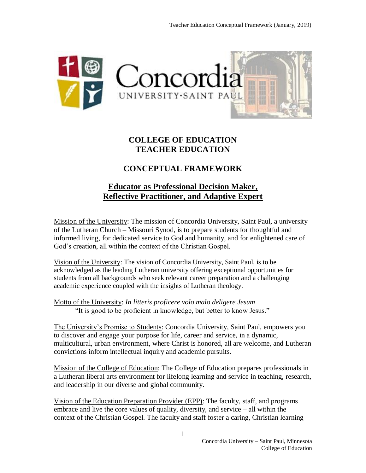

# **COLLEGE OF EDUCATION TEACHER EDUCATION**

# **CONCEPTUAL FRAMEWORK**

# **Educator as Professional Decision Maker, Reflective Practitioner, and Adaptive Expert**

Mission of the University: The mission of Concordia University, Saint Paul, a university of the Lutheran Church – Missouri Synod, is to prepare students for thoughtful and informed living, for dedicated service to God and humanity, and for enlightened care of God's creation, all within the context of the Christian Gospel.

Vision of the University: The vision of Concordia University, Saint Paul, is to be acknowledged as the leading Lutheran university offering exceptional opportunities for students from all backgrounds who seek relevant career preparation and a challenging academic experience coupled with the insights of Lutheran theology.

Motto of the University: *In litteris proficere volo malo deligere Jesum*  "It is good to be proficient in knowledge, but better to know Jesus."

The University's Promise to Students: Concordia University, Saint Paul, empowers you to discover and engage your purpose for life, career and service, in a dynamic, multicultural, urban environment, where Christ is honored, all are welcome, and Lutheran convictions inform intellectual inquiry and academic pursuits.

Mission of the College of Education: The College of Education prepares professionals in a Lutheran liberal arts environment for lifelong learning and service in teaching, research, and leadership in our diverse and global community.

Vision of the Education Preparation Provider (EPP): The faculty, staff, and programs embrace and live the core values of quality, diversity, and service – all within the context of the Christian Gospel. The faculty and staff foster a caring, Christian learning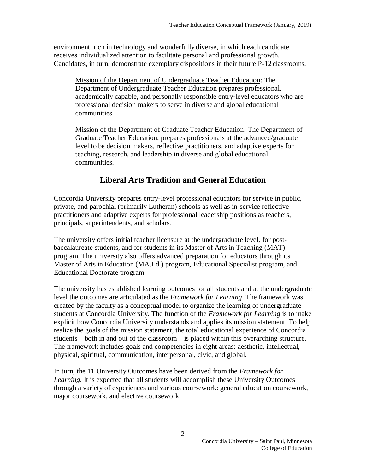environment, rich in technology and wonderfully diverse, in which each candidate receives individualized attention to facilitate personal and professional growth. Candidates, in turn, demonstrate exemplary dispositions in their future P-12 classrooms.

Mission of the Department of Undergraduate Teacher Education: The Department of Undergraduate Teacher Education prepares professional, academically capable, and personally responsible entry-level educators who are professional decision makers to serve in diverse and global educational communities.

Mission of the Department of Graduate Teacher Education: The Department of Graduate Teacher Education, prepares professionals at the advanced/graduate level to be decision makers, reflective practitioners, and adaptive experts for teaching, research, and leadership in diverse and global educational communities.

# **Liberal Arts Tradition and General Education**

Concordia University prepares entry-level professional educators for service in public, private, and parochial (primarily Lutheran) schools as well as in-service reflective practitioners and adaptive experts for professional leadership positions as teachers, principals, superintendents, and scholars.

The university offers initial teacher licensure at the undergraduate level, for postbaccalaureate students, and for students in its Master of Arts in Teaching (MAT) program. The university also offers advanced preparation for educators through its Master of Arts in Education (MA.Ed.) program, Educational Specialist program, and Educational Doctorate program.

The university has established learning outcomes for all students and at the undergraduate level the outcomes are articulated as the *Framework for Learning*. The framework was created by the faculty as a conceptual model to organize the learning of undergraduate students at Concordia University. The function of the *Framework for Learning* is to make explicit how Concordia University understands and applies its mission statement. To help realize the goals of the mission statement, the total educational experience of Concordia students – both in and out of the classroom – is placed within this overarching structure. The framework includes goals and competencies in eight areas: aesthetic, intellectual, physical, spiritual, communication, interpersonal, civic, and global.

In turn, the 11 University Outcomes have been derived from the *Framework for Learning*. It is expected that all students will accomplish these University Outcomes through a variety of experiences and various coursework: general education coursework, major coursework, and elective coursework.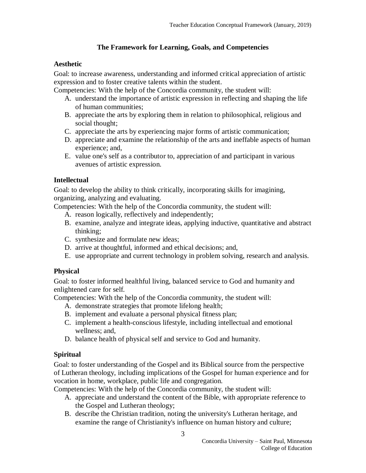## **The Framework for Learning, Goals, and Competencies**

### **Aesthetic**

Goal: to increase awareness, understanding and informed critical appreciation of artistic expression and to foster creative talents within the student.

Competencies: With the help of the Concordia community, the student will:

- A. understand the importance of artistic expression in reflecting and shaping the life of human communities;
- B. appreciate the arts by exploring them in relation to philosophical, religious and social thought;
- C. appreciate the arts by experiencing major forms of artistic communication;
- D. appreciate and examine the relationship of the arts and ineffable aspects of human experience; and,
- E. value one's self as a contributor to, appreciation of and participant in various avenues of artistic expression.

### **Intellectual**

Goal: to develop the ability to think critically, incorporating skills for imagining, organizing, analyzing and evaluating.

Competencies: With the help of the Concordia community, the student will:

- A. reason logically, reflectively and independently;
- B. examine, analyze and integrate ideas, applying inductive, quantitative and abstract thinking;
- C. synthesize and formulate new ideas;
- D. arrive at thoughtful, informed and ethical decisions; and,
- E. use appropriate and current technology in problem solving, research and analysis.

## **Physical**

Goal: to foster informed healthful living, balanced service to God and humanity and enlightened care for self.

Competencies: With the help of the Concordia community, the student will:

- A. demonstrate strategies that promote lifelong health;
- B. implement and evaluate a personal physical fitness plan;
- C. implement a health-conscious lifestyle, including intellectual and emotional wellness; and,
- D. balance health of physical self and service to God and humanity.

## **Spiritual**

Goal: to foster understanding of the Gospel and its Biblical source from the perspective of Lutheran theology, including implications of the Gospel for human experience and for vocation in home, workplace, public life and congregation.

Competencies: With the help of the Concordia community, the student will:

- A. appreciate and understand the content of the Bible, with appropriate reference to the Gospel and Lutheran theology;
- B. describe the Christian tradition, noting the university's Lutheran heritage, and examine the range of Christianity's influence on human history and culture;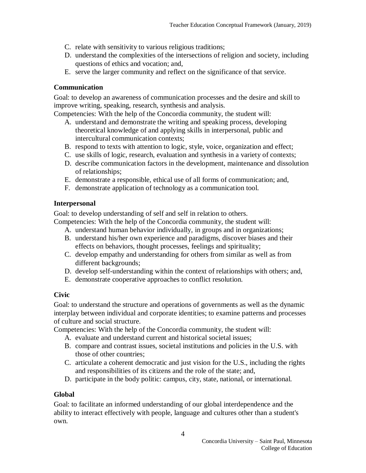- C. relate with sensitivity to various religious traditions;
- D. understand the complexities of the intersections of religion and society, including questions of ethics and vocation; and,
- E. serve the larger community and reflect on the significance of that service.

### **Communication**

Goal: to develop an awareness of communication processes and the desire and skill to improve writing, speaking, research, synthesis and analysis.

Competencies: With the help of the Concordia community, the student will:

- A. understand and demonstrate the writing and speaking process, developing theoretical knowledge of and applying skills in interpersonal, public and intercultural communication contexts;
- B. respond to texts with attention to logic, style, voice, organization and effect;
- C. use skills of logic, research, evaluation and synthesis in a variety of contexts;
- D. describe communication factors in the development, maintenance and dissolution of relationships;
- E. demonstrate a responsible, ethical use of all forms of communication; and,
- F. demonstrate application of technology as a communication tool.

### **Interpersonal**

Goal: to develop understanding of self and self in relation to others.

Competencies: With the help of the Concordia community, the student will:

- A. understand human behavior individually, in groups and in organizations;
- B. understand his/her own experience and paradigms, discover biases and their effects on behaviors, thought processes, feelings and spirituality;
- C. develop empathy and understanding for others from similar as well as from different backgrounds;
- D. develop self-understanding within the context of relationships with others; and,
- E. demonstrate cooperative approaches to conflict resolution.

### **Civic**

Goal: to understand the structure and operations of governments as well as the dynamic interplay between individual and corporate identities; to examine patterns and processes of culture and social structure.

Competencies: With the help of the Concordia community, the student will:

- A. evaluate and understand current and historical societal issues;
- B. compare and contrast issues, societal institutions and policies in the U.S. with those of other countries;
- C. articulate a coherent democratic and just vision for the U.S., including the rights and responsibilities of its citizens and the role of the state; and,
- D. participate in the body politic: campus, city, state, national, or international.

### **Global**

Goal: to facilitate an informed understanding of our global interdependence and the ability to interact effectively with people, language and cultures other than a student's own.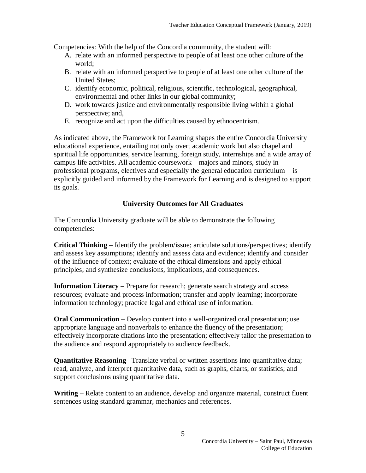Competencies: With the help of the Concordia community, the student will:

- A. relate with an informed perspective to people of at least one other culture of the world;
- B. relate with an informed perspective to people of at least one other culture of the United States;
- C. identify economic, political, religious, scientific, technological, geographical, environmental and other links in our global community;
- D. work towards justice and environmentally responsible living within a global perspective; and,
- E. recognize and act upon the difficulties caused by ethnocentrism.

As indicated above, the Framework for Learning shapes the entire Concordia University educational experience, entailing not only overt academic work but also chapel and spiritual life opportunities, service learning, foreign study, internships and a wide array of campus life activities. All academic coursework – majors and minors, study in professional programs, electives and especially the general education curriculum – is explicitly guided and informed by the Framework for Learning and is designed to support its goals.

## **University Outcomes for All Graduates**

The Concordia University graduate will be able to demonstrate the following competencies:

**Critical Thinking** – Identify the problem/issue; articulate solutions/perspectives; identify and assess key assumptions; identify and assess data and evidence; identify and consider of the influence of context; evaluate of the ethical dimensions and apply ethical principles; and synthesize conclusions, implications, and consequences.

**Information Literacy** – Prepare for research; generate search strategy and access resources; evaluate and process information; transfer and apply learning; incorporate information technology; practice legal and ethical use of information.

**Oral Communication** – Develop content into a well-organized oral presentation; use appropriate language and nonverbals to enhance the fluency of the presentation; effectively incorporate citations into the presentation; effectively tailor the presentation to the audience and respond appropriately to audience feedback.

**Quantitative Reasoning** – Translate verbal or written assertions into quantitative data; read, analyze, and interpret quantitative data, such as graphs, charts, or statistics; and support conclusions using quantitative data.

**Writing** – Relate content to an audience, develop and organize material, construct fluent sentences using standard grammar, mechanics and references.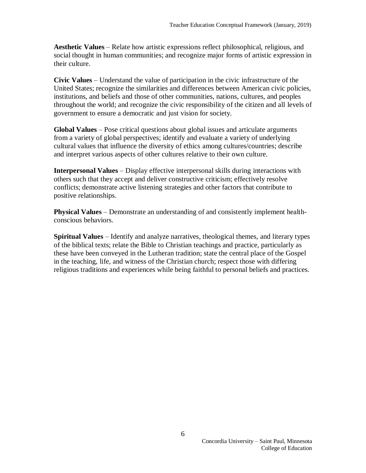**Aesthetic Values** – Relate how artistic expressions reflect philosophical, religious, and social thought in human communities; and recognize major forms of artistic expression in their culture.

**Civic Values** – Understand the value of participation in the civic infrastructure of the United States; recognize the similarities and differences between American civic policies, institutions, and beliefs and those of other communities, nations, cultures, and peoples throughout the world; and recognize the civic responsibility of the citizen and all levels of government to ensure a democratic and just vision for society.

**Global Values** – Pose critical questions about global issues and articulate arguments from a variety of global perspectives; identify and evaluate a variety of underlying cultural values that influence the diversity of ethics among cultures/countries; describe and interpret various aspects of other cultures relative to their own culture.

**Interpersonal Values** – Display effective interpersonal skills during interactions with others such that they accept and deliver constructive criticism; effectively resolve conflicts; demonstrate active listening strategies and other factors that contribute to positive relationships.

**Physical Values** – Demonstrate an understanding of and consistently implement healthconscious behaviors.

**Spiritual Values** – Identify and analyze narratives, theological themes, and literary types of the biblical texts; relate the Bible to Christian teachings and practice, particularly as these have been conveyed in the Lutheran tradition; state the central place of the Gospel in the teaching, life, and witness of the Christian church; respect those with differing religious traditions and experiences while being faithful to personal beliefs and practices.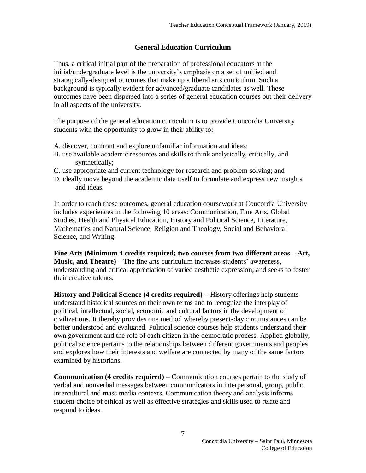### **General Education Curriculum**

Thus, a critical initial part of the preparation of professional educators at the initial/undergraduate level is the university's emphasis on a set of unified and strategically-designed outcomes that make up a liberal arts curriculum. Such a background is typically evident for advanced/graduate candidates as well. These outcomes have been dispersed into a series of general education courses but their delivery in all aspects of the university.

The purpose of the general education curriculum is to provide Concordia University students with the opportunity to grow in their ability to:

- A. discover, confront and explore unfamiliar information and ideas;
- B. use available academic resources and skills to think analytically, critically, and synthetically;
- C. use appropriate and current technology for research and problem solving; and
- D. ideally move beyond the academic data itself to formulate and express new insights and ideas.

In order to reach these outcomes, general education coursework at Concordia University includes experiences in the following 10 areas: Communication, Fine Arts, Global Studies, Health and Physical Education, History and Political Science, Literature, Mathematics and Natural Science, Religion and Theology, Social and Behavioral Science, and Writing:

**Fine Arts (Minimum 4 credits required; two courses from two different areas – Art, Music, and Theatre) –** The fine arts curriculum increases students' awareness, understanding and critical appreciation of varied aesthetic expression; and seeks to foster their creative talents.

**History and Political Science (4 credits required) –** History offerings help students understand historical sources on their own terms and to recognize the interplay of political, intellectual, social, economic and cultural factors in the development of civilizations. It thereby provides one method whereby present-day circumstances can be better understood and evaluated. Political science courses help students understand their own government and the role of each citizen in the democratic process. Applied globally, political science pertains to the relationships between different governments and peoples and explores how their interests and welfare are connected by many of the same factors examined by historians.

**Communication (4 credits required) –** Communication courses pertain to the study of verbal and nonverbal messages between communicators in interpersonal, group, public, intercultural and mass media contexts. Communication theory and analysis informs student choice of ethical as well as effective strategies and skills used to relate and respond to ideas.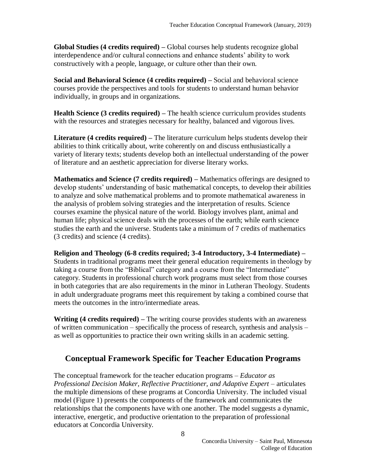**Global Studies (4 credits required) –** Global courses help students recognize global interdependence and/or cultural connections and enhance students' ability to work constructively with a people, language, or culture other than their own.

**Social and Behavioral Science (4 credits required) –** Social and behavioral science courses provide the perspectives and tools for students to understand human behavior individually, in groups and in organizations.

**Health Science (3 credits required) –** The health science curriculum provides students with the resources and strategies necessary for healthy, balanced and vigorous lives.

**Literature (4 credits required) –** The literature curriculum helps students develop their abilities to think critically about, write coherently on and discuss enthusiastically a variety of literary texts; students develop both an intellectual understanding of the power of literature and an aesthetic appreciation for diverse literary works.

**Mathematics and Science (7 credits required) –** Mathematics offerings are designed to develop students' understanding of basic mathematical concepts, to develop their abilities to analyze and solve mathematical problems and to promote mathematical awareness in the analysis of problem solving strategies and the interpretation of results. Science courses examine the physical nature of the world. Biology involves plant, animal and human life; physical science deals with the processes of the earth; while earth science studies the earth and the universe. Students take a minimum of 7 credits of mathematics (3 credits) and science (4 credits).

**Religion and Theology (6-8 credits required; 3-4 Introductory, 3-4 Intermediate) –** Students in traditional programs meet their general education requirements in theology by taking a course from the "Biblical" category and a course from the "Intermediate" category. Students in professional church work programs must select from those courses in both categories that are also requirements in the minor in Lutheran Theology. Students in adult undergraduate programs meet this requirement by taking a combined course that meets the outcomes in the intro/intermediate areas.

**Writing (4 credits required) –** The writing course provides students with an awareness of written communication – specifically the process of research, synthesis and analysis – as well as opportunities to practice their own writing skills in an academic setting.

# **Conceptual Framework Specific for Teacher Education Programs**

The conceptual framework for the teacher education programs – *Educator as Professional Decision Maker, Reflective Practitioner, and Adaptive Expert* – articulates the multiple dimensions of these programs at Concordia University. The included visual model (Figure 1) presents the components of the framework and communicates the relationships that the components have with one another. The model suggests a dynamic, interactive, energetic, and productive orientation to the preparation of professional educators at Concordia University.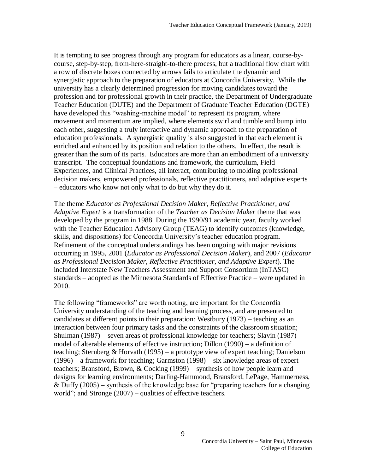It is tempting to see progress through any program for educators as a linear, course-bycourse, step-by-step, from-here-straight-to-there process, but a traditional flow chart with a row of discrete boxes connected by arrows fails to articulate the dynamic and synergistic approach to the preparation of educators at Concordia University. While the university has a clearly determined progression for moving candidates toward the profession and for professional growth in their practice, the Department of Undergraduate Teacher Education (DUTE) and the Department of Graduate Teacher Education (DGTE) have developed this "washing-machine model" to represent its program, where movement and momentum are implied, where elements swirl and tumble and bump into each other, suggesting a truly interactive and dynamic approach to the preparation of education professionals. A synergistic quality is also suggested in that each element is enriched and enhanced by its position and relation to the others. In effect, the result is greater than the sum of its parts. Educators are more than an embodiment of a university transcript. The conceptual foundations and framework, the curriculum, Field Experiences, and Clinical Practices, all interact, contributing to molding professional decision makers, empowered professionals, reflective practitioners, and adaptive experts – educators who know not only what to do but why they do it.

The theme *Educator as Professional Decision Maker, Reflective Practitioner, and Adaptive Expert* is a transformation of the *Teacher as Decision Maker* theme that was developed by the program in 1988. During the 1990/91 academic year, faculty worked with the Teacher Education Advisory Group (TEAG) to identify outcomes (knowledge, skills, and dispositions) for Concordia University's teacher education program. Refinement of the conceptual understandings has been ongoing with major revisions occurring in 1995, 2001 (*Educator as Professional Decision Maker*), and 2007 (*Educator as Professional Decision Maker, Reflective Practitioner, and Adaptive Expert*). The included Interstate New Teachers Assessment and Support Consortium (InTASC) standards – adopted as the Minnesota Standards of Effective Practice – were updated in 2010.

The following "frameworks" are worth noting, are important for the Concordia University understanding of the teaching and learning process, and are presented to candidates at different points in their preparation: Westbury (1973) – teaching as an interaction between four primary tasks and the constraints of the classroom situation; Shulman (1987) – seven areas of professional knowledge for teachers; Slavin (1987) – model of alterable elements of effective instruction; Dillon (1990) – a definition of teaching; Sternberg & Horvath (1995) – a prototype view of expert teaching; Danielson (1996) – a framework for teaching; Garmston (1998) – six knowledge areas of expert teachers; Bransford, Brown, & Cocking (1999) – synthesis of how people learn and designs for learning environments; Darling-Hammond, Bransford, LePage, Hammerness, & Duffy (2005) – synthesis of the knowledge base for "preparing teachers for a changing world"; and Stronge (2007) – qualities of effective teachers.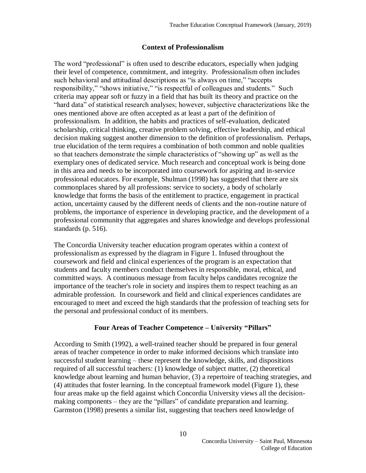#### **Context of Professionalism**

The word "professional" is often used to describe educators, especially when judging their level of competence, commitment, and integrity. Professionalism often includes such behavioral and attitudinal descriptions as "is always on time," "accepts responsibility," "shows initiative," "is respectful of colleagues and students." Such criteria may appear soft or fuzzy in a field that has built its theory and practice on the "hard data" of statistical research analyses; however, subjective characterizations like the ones mentioned above are often accepted as at least a part of the definition of professionalism. In addition, the habits and practices of self-evaluation, dedicated scholarship, critical thinking, creative problem solving, effective leadership, and ethical decision making suggest another dimension to the definition of professionalism. Perhaps, true elucidation of the term requires a combination of both common and noble qualities so that teachers demonstrate the simple characteristics of "showing up" as well as the exemplary ones of dedicated service. Much research and conceptual work is being done in this area and needs to be incorporated into coursework for aspiring and in-service professional educators. For example, Shulman (1998) has suggested that there are six commonplaces shared by all professions: service to society, a body of scholarly knowledge that forms the basis of the entitlement to practice, engagement in practical action, uncertainty caused by the different needs of clients and the non-routine nature of problems, the importance of experience in developing practice, and the development of a professional community that aggregates and shares knowledge and develops professional standards (p. 516).

The Concordia University teacher education program operates within a context of professionalism as expressed by the diagram in Figure 1. Infused throughout the coursework and field and clinical experiences of the program is an expectation that students and faculty members conduct themselves in responsible, moral, ethical, and committed ways. A continuous message from faculty helps candidates recognize the importance of the teacher's role in society and inspires them to respect teaching as an admirable profession. In coursework and field and clinical experiences candidates are encouraged to meet and exceed the high standards that the profession of teaching sets for the personal and professional conduct of its members.

### **Four Areas of Teacher Competence – University "Pillars"**

According to Smith (1992), a well-trained teacher should be prepared in four general areas of teacher competence in order to make informed decisions which translate into successful student learning – these represent the knowledge, skills, and dispositions required of all successful teachers: (1) knowledge of subject matter, (2) theoretical knowledge about learning and human behavior, (3) a repertoire of teaching strategies, and (4) attitudes that foster learning. In the conceptual framework model (Figure 1), these four areas make up the field against which Concordia University views all the decisionmaking components – they are the "pillars" of candidate preparation and learning. Garmston (1998) presents a similar list, suggesting that teachers need knowledge of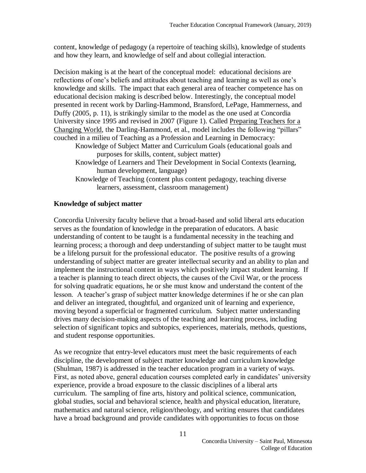content, knowledge of pedagogy (a repertoire of teaching skills), knowledge of students and how they learn, and knowledge of self and about collegial interaction.

Decision making is at the heart of the conceptual model: educational decisions are reflections of one's beliefs and attitudes about teaching and learning as well as one's knowledge and skills. The impact that each general area of teacher competence has on educational decision making is described below. Interestingly, the conceptual model presented in recent work by Darling-Hammond, Bransford, LePage, Hammerness, and Duffy (2005, p. 11), is strikingly similar to the model as the one used at Concordia University since 1995 and revised in 2007 (Figure 1). Called Preparing Teachers for a Changing World, the Darling-Hammond, et al., model includes the following "pillars" couched in a milieu of Teaching as a Profession and Learning in Democracy: Knowledge of Subject Matter and Curriculum Goals (educational goals and

purposes for skills, content, subject matter)

Knowledge of Learners and Their Development in Social Contexts (learning, human development, language)

Knowledge of Teaching (content plus content pedagogy, teaching diverse learners, assessment, classroom management)

#### **Knowledge of subject matter**

Concordia University faculty believe that a broad-based and solid liberal arts education serves as the foundation of knowledge in the preparation of educators. A basic understanding of content to be taught is a fundamental necessity in the teaching and learning process; a thorough and deep understanding of subject matter to be taught must be a lifelong pursuit for the professional educator. The positive results of a growing understanding of subject matter are greater intellectual security and an ability to plan and implement the instructional content in ways which positively impact student learning. If a teacher is planning to teach direct objects, the causes of the Civil War, or the process for solving quadratic equations, he or she must know and understand the content of the lesson. A teacher's grasp of subject matter knowledge determines if he or she can plan and deliver an integrated, thoughtful, and organized unit of learning and experience, moving beyond a superficial or fragmented curriculum. Subject matter understanding drives many decision-making aspects of the teaching and learning process, including selection of significant topics and subtopics, experiences, materials, methods, questions, and student response opportunities.

As we recognize that entry-level educators must meet the basic requirements of each discipline, the development of subject matter knowledge and curriculum knowledge (Shulman, 1987) is addressed in the teacher education program in a variety of ways. First, as noted above, general education courses completed early in candidates' university experience, provide a broad exposure to the classic disciplines of a liberal arts curriculum. The sampling of fine arts, history and political science, communication, global studies, social and behavioral science, health and physical education, literature, mathematics and natural science, religion/theology, and writing ensures that candidates have a broad background and provide candidates with opportunities to focus on those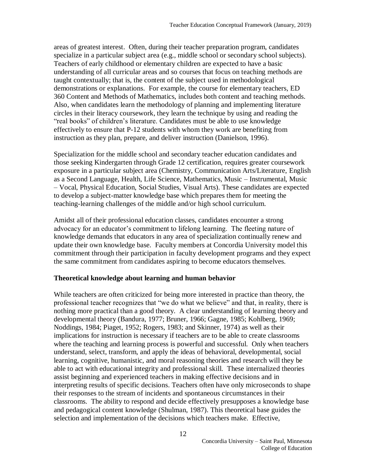areas of greatest interest. Often, during their teacher preparation program, candidates specialize in a particular subject area (e.g., middle school or secondary school subjects). Teachers of early childhood or elementary children are expected to have a basic understanding of all curricular areas and so courses that focus on teaching methods are taught contextually; that is, the content of the subject used in methodological demonstrations or explanations. For example, the course for elementary teachers, ED 360 Content and Methods of Mathematics, includes both content and teaching methods. Also, when candidates learn the methodology of planning and implementing literature circles in their literacy coursework, they learn the technique by using and reading the "real books" of children's literature. Candidates must be able to use knowledge effectively to ensure that P-12 students with whom they work are benefiting from instruction as they plan, prepare, and deliver instruction (Danielson, 1996).

Specialization for the middle school and secondary teacher education candidates and those seeking Kindergarten through Grade 12 certification, requires greater coursework exposure in a particular subject area (Chemistry, Communication Arts/Literature, English as a Second Language, Health, Life Science, Mathematics, Music – Instrumental, Music – Vocal, Physical Education, Social Studies, Visual Arts). These candidates are expected to develop a subject-matter knowledge base which prepares them for meeting the teaching-learning challenges of the middle and/or high school curriculum.

Amidst all of their professional education classes, candidates encounter a strong advocacy for an educator's commitment to lifelong learning. The fleeting nature of knowledge demands that educators in any area of specialization continually renew and update their own knowledge base. Faculty members at Concordia University model this commitment through their participation in faculty development programs and they expect the same commitment from candidates aspiring to become educators themselves.

#### **Theoretical knowledge about learning and human behavior**

While teachers are often criticized for being more interested in practice than theory, the professional teacher recognizes that "we do what we believe" and that, in reality, there is nothing more practical than a good theory. A clear understanding of learning theory and developmental theory (Bandura, 1977; Bruner, 1966; Gagne, 1985; Kohlberg, 1969; Noddings, 1984; Piaget, 1952; Rogers, 1983; and Skinner, 1974) as well as their implications for instruction is necessary if teachers are to be able to create classrooms where the teaching and learning process is powerful and successful. Only when teachers understand, select, transform, and apply the ideas of behavioral, developmental, social learning, cognitive, humanistic, and moral reasoning theories and research will they be able to act with educational integrity and professional skill. These internalized theories assist beginning and experienced teachers in making effective decisions and in interpreting results of specific decisions. Teachers often have only microseconds to shape their responses to the stream of incidents and spontaneous circumstances in their classrooms. The ability to respond and decide effectively presupposes a knowledge base and pedagogical content knowledge (Shulman, 1987). This theoretical base guides the selection and implementation of the decisions which teachers make. Effective,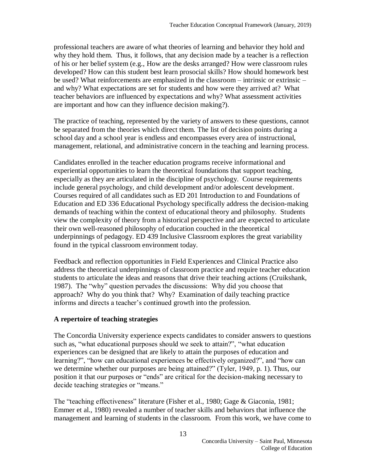professional teachers are aware of what theories of learning and behavior they hold and why they hold them. Thus, it follows, that any decision made by a teacher is a reflection of his or her belief system (e.g., How are the desks arranged? How were classroom rules developed? How can this student best learn prosocial skills? How should homework best be used? What reinforcements are emphasized in the classroom – intrinsic or extrinsic – and why? What expectations are set for students and how were they arrived at? What teacher behaviors are influenced by expectations and why? What assessment activities are important and how can they influence decision making?).

The practice of teaching, represented by the variety of answers to these questions, cannot be separated from the theories which direct them. The list of decision points during a school day and a school year is endless and encompasses every area of instructional, management, relational, and administrative concern in the teaching and learning process.

Candidates enrolled in the teacher education programs receive informational and experiential opportunities to learn the theoretical foundations that support teaching, especially as they are articulated in the discipline of psychology. Course requirements include general psychology, and child development and/or adolescent development. Courses required of all candidates such as ED 201 Introduction to and Foundations of Education and ED 336 Educational Psychology specifically address the decision-making demands of teaching within the context of educational theory and philosophy. Students view the complexity of theory from a historical perspective and are expected to articulate their own well-reasoned philosophy of education couched in the theoretical underpinnings of pedagogy. ED 439 Inclusive Classroom explores the great variability found in the typical classroom environment today.

Feedback and reflection opportunities in Field Experiences and Clinical Practice also address the theoretical underpinnings of classroom practice and require teacher education students to articulate the ideas and reasons that drive their teaching actions (Cruikshank, 1987). The "why" question pervades the discussions: Why did you choose that approach? Why do you think that? Why? Examination of daily teaching practice informs and directs a teacher's continued growth into the profession.

#### **A repertoire of teaching strategies**

The Concordia University experience expects candidates to consider answers to questions such as, "what educational purposes should we seek to attain?", "what education experiences can be designed that are likely to attain the purposes of education and learning?", "how can educational experiences be effectively organized?", and "how can we determine whether our purposes are being attained?" (Tyler, 1949, p. 1). Thus, our position it that our purposes or "ends" are critical for the decision-making necessary to decide teaching strategies or "means."

The "teaching effectiveness" literature (Fisher et al., 1980; Gage & Giaconia, 1981; Emmer et al., 1980) revealed a number of teacher skills and behaviors that influence the management and learning of students in the classroom. From this work, we have come to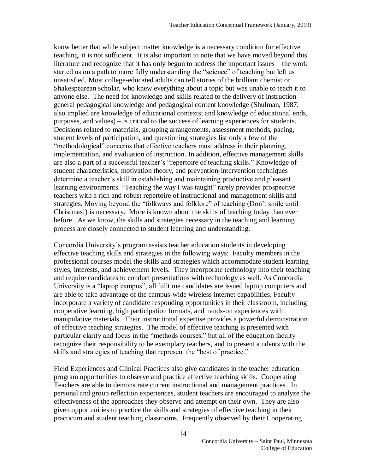know better that while subject matter knowledge is a necessary condition for effective teaching, it is not sufficient. It is also important to note that we have moved beyond this literature and recognize that it has only begun to address the important issues – the work started us on a path to more fully understanding the "science" of teaching but left us unsatisfied. Most college-educated adults can tell stories of the brilliant chemist or Shakespearean scholar, who knew everything about a topic but was unable to teach it to anyone else. The need for knowledge and skills related to the delivery of instruction – general pedagogical knowledge and pedagogical content knowledge (Shulman, 1987; also implied are knowledge of educational contexts; and knowledge of educational ends, purposes, and values) – is critical to the success of learning experiences for students. Decisions related to materials, grouping arrangements, assessment methods, pacing, student levels of participation, and questioning strategies list only a few of the "methodological" concerns that effective teachers must address in their planning, implementation, and evaluation of instruction. In addition, effective management skills are also a part of a successful teacher's "repertoire of teaching skills." Knowledge of student characteristics, motivation theory, and prevention-intervention techniques determine a teacher's skill in establishing and maintaining productive and pleasant learning environments. "Teaching the way I was taught" rarely provides prospective teachers with a rich and robust repertoire of instructional and management skills and strategies. Moving beyond the "folkways and folklore" of teaching (Don't smile until Christmas!) is necessary. More is known about the skills of teaching today than ever before. As we know, the skills and strategies necessary in the teaching and learning process are closely connected to student learning and understanding.

Concordia University's program assists teacher education students in developing effective teaching skills and strategies in the following ways: Faculty members in the professional courses model the skills and strategies which accommodate student learning styles, interests, and achievement levels. They incorporate technology into their teaching and require candidates to conduct presentations with technology as well. As Concordia University is a "laptop campus", all fulltime candidates are issued laptop computers and are able to take advantage of the campus-wide wireless internet capabilities. Faculty incorporate a variety of candidate responding opportunities in their classroom, including cooperative learning, high participation formats, and hands-on experiences with manipulative materials. Their instructional expertise provides a powerful demonstration of effective teaching strategies. The model of effective teaching is presented with particular clarity and focus in the "methods courses," but all of the education faculty recognize their responsibility to be exemplary teachers, and to present students with the skills and strategies of teaching that represent the "best of practice."

Field Experiences and Clinical Practices also give candidates in the teacher education program opportunities to observe and practice effective teaching skills. Cooperating Teachers are able to demonstrate current instructional and management practices. In personal and group reflection experiences, student teachers are encouraged to analyze the effectiveness of the approaches they observe and attempt on their own. They are also given opportunities to practice the skills and strategies of effective teaching in their practicum and student teaching classrooms. Frequently observed by their Cooperating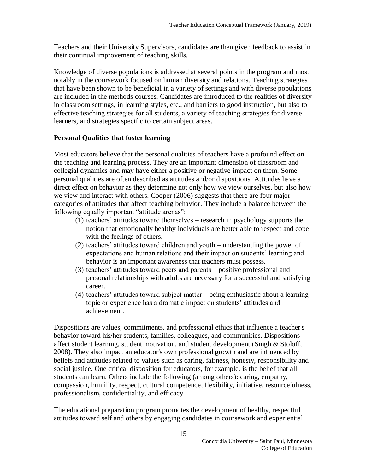Teachers and their University Supervisors, candidates are then given feedback to assist in their continual improvement of teaching skills.

Knowledge of diverse populations is addressed at several points in the program and most notably in the coursework focused on human diversity and relations. Teaching strategies that have been shown to be beneficial in a variety of settings and with diverse populations are included in the methods courses. Candidates are introduced to the realities of diversity in classroom settings, in learning styles, etc., and barriers to good instruction, but also to effective teaching strategies for all students, a variety of teaching strategies for diverse learners, and strategies specific to certain subject areas.

#### **Personal Qualities that foster learning**

Most educators believe that the personal qualities of teachers have a profound effect on the teaching and learning process. They are an important dimension of classroom and collegial dynamics and may have either a positive or negative impact on them. Some personal qualities are often described as attitudes and/or dispositions. Attitudes have a direct effect on behavior as they determine not only how we view ourselves, but also how we view and interact with others. Cooper (2006) suggests that there are four major categories of attitudes that affect teaching behavior. They include a balance between the following equally important "attitude arenas":

- (1) teachers' attitudes toward themselves research in psychology supports the notion that emotionally healthy individuals are better able to respect and cope with the feelings of others.
- (2) teachers' attitudes toward children and youth understanding the power of expectations and human relations and their impact on students' learning and behavior is an important awareness that teachers must possess.
- (3) teachers' attitudes toward peers and parents positive professional and personal relationships with adults are necessary for a successful and satisfying career.
- (4) teachers' attitudes toward subject matter being enthusiastic about a learning topic or experience has a dramatic impact on students' attitudes and achievement.

Dispositions are values, commitments, and professional ethics that influence a teacher's behavior toward his/her students, families, colleagues, and communities. Dispositions affect student learning, student motivation, and student development (Singh & Stoloff, 2008). They also impact an educator's own professional growth and are influenced by beliefs and attitudes related to values such as caring, fairness, honesty, responsibility and social justice. One critical disposition for educators, for example, is the belief that all students can learn. Others include the following (among others): caring, empathy, compassion, humility, respect, cultural competence, flexibility, initiative, resourcefulness, professionalism, confidentiality, and efficacy.

The educational preparation program promotes the development of healthy, respectful attitudes toward self and others by engaging candidates in coursework and experiential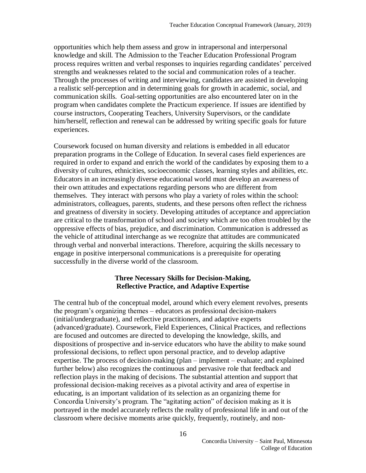opportunities which help them assess and grow in intrapersonal and interpersonal knowledge and skill. The Admission to the Teacher Education Professional Program process requires written and verbal responses to inquiries regarding candidates' perceived strengths and weaknesses related to the social and communication roles of a teacher. Through the processes of writing and interviewing, candidates are assisted in developing a realistic self-perception and in determining goals for growth in academic, social, and communication skills. Goal-setting opportunities are also encountered later on in the program when candidates complete the Practicum experience. If issues are identified by course instructors, Cooperating Teachers, University Supervisors, or the candidate him/herself, reflection and renewal can be addressed by writing specific goals for future experiences.

Coursework focused on human diversity and relations is embedded in all educator preparation programs in the College of Education. In several cases field experiences are required in order to expand and enrich the world of the candidates by exposing them to a diversity of cultures, ethnicities, socioeconomic classes, learning styles and abilities, etc. Educators in an increasingly diverse educational world must develop an awareness of their own attitudes and expectations regarding persons who are different from themselves. They interact with persons who play a variety of roles within the school: administrators, colleagues, parents, students, and these persons often reflect the richness and greatness of diversity in society. Developing attitudes of acceptance and appreciation are critical to the transformation of school and society which are too often troubled by the oppressive effects of bias, prejudice, and discrimination. Communication is addressed as the vehicle of attitudinal interchange as we recognize that attitudes are communicated through verbal and nonverbal interactions. Therefore, acquiring the skills necessary to engage in positive interpersonal communications is a prerequisite for operating successfully in the diverse world of the classroom.

### **Three Necessary Skills for Decision-Making, Reflective Practice, and Adaptive Expertise**

The central hub of the conceptual model, around which every element revolves, presents the program's organizing themes – educators as professional decision-makers (initial/undergraduate), and reflective practitioners, and adaptive experts (advanced/graduate). Coursework, Field Experiences, Clinical Practices, and reflections are focused and outcomes are directed to developing the knowledge, skills, and dispositions of prospective and in-service educators who have the ability to make sound professional decisions, to reflect upon personal practice, and to develop adaptive expertise. The process of decision-making (plan – implement – evaluate; and explained further below) also recognizes the continuous and pervasive role that feedback and reflection plays in the making of decisions. The substantial attention and support that professional decision-making receives as a pivotal activity and area of expertise in educating, is an important validation of its selection as an organizing theme for Concordia University's program. The "agitating action" of decision making as it is portrayed in the model accurately reflects the reality of professional life in and out of the classroom where decisive moments arise quickly, frequently, routinely, and non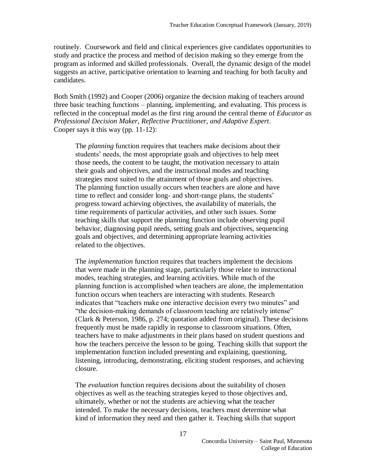routinely. Coursework and field and clinical experiences give candidates opportunities to study and practice the process and method of decision making so they emerge from the program as informed and skilled professionals. Overall, the dynamic design of the model suggests an active, participative orientation to learning and teaching for both faculty and candidates.

Both Smith (1992) and Cooper (2006) organize the decision making of teachers around three basic teaching functions – planning, implementing, and evaluating. This process is reflected in the conceptual model as the first ring around the central theme of *Educator as Professional Decision Maker, Reflective Practitioner, and Adaptive Expert*. Cooper says it this way (pp. 11-12):

The *planning* function requires that teachers make decisions about their students' needs, the most appropriate goals and objectives to help meet those needs, the content to be taught, the motivation necessary to attain their goals and objectives, and the instructional modes and teaching strategies most suited to the attainment of those goals and objectives. The planning function usually occurs when teachers are alone and have time to reflect and consider long- and short-range plans, the students' progress toward achieving objectives, the availability of materials, the time requirements of particular activities, and other such issues. Some teaching skills that support the planning function include observing pupil behavior, diagnosing pupil needs, setting goals and objectives, sequencing goals and objectives, and determining appropriate learning activities related to the objectives.

The *implementation* function requires that teachers implement the decisions that were made in the planning stage, particularly those relate to instructional modes, teaching strategies, and learning activities. While much of the planning function is accomplished when teachers are alone, the implementation function occurs when teachers are interacting with students. Research indicates that "teachers make one interactive decision every two minutes" and "the decision-making demands of classroom teaching are relatively intense" (Clark & Peterson, 1986, p. 274; quotation added from original). These decisions frequently must be made rapidly in response to classroom situations. Often, teachers have to make adjustments in their plans based on student questions and how the teachers perceive the lesson to be going. Teaching skills that support the implementation function included presenting and explaining, questioning, listening, introducing, demonstrating, eliciting student responses, and achieving closure.

The *evaluation* function requires decisions about the suitability of chosen objectives as well as the teaching strategies keyed to those objectives and, ultimately, whether or not the students are achieving what the teacher intended. To make the necessary decisions, teachers must determine what kind of information they need and then gather it. Teaching skills that support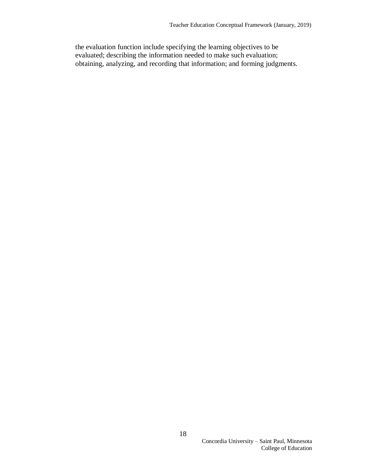the evaluation function include specifying the learning objectives to be evaluated; describing the information needed to make such evaluation; obtaining, analyzing, and recording that information; and forming judgments.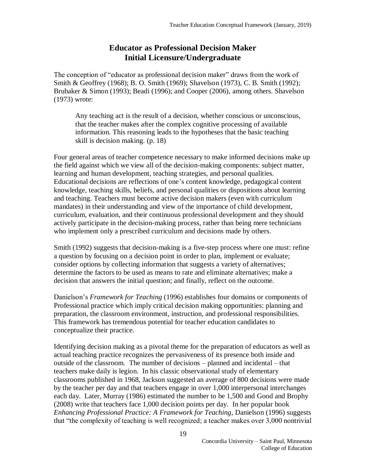# **Educator as Professional Decision Maker Initial Licensure/Undergraduate**

The conception of "educator as professional decision maker" draws from the work of Smith & Geoffrey (1968); B. O. Smith (1969); Shavelson (1973), C. B. Smith (1992); Brubaker & Simon (1993); Beadi (1996); and Cooper (2006), among others. Shavelson (1973) wrote:

Any teaching act is the result of a decision, whether conscious or unconscious, that the teacher makes after the complex cognitive processing of available information. This reasoning leads to the hypotheses that the basic teaching skill is decision making. (p. 18)

Four general areas of teacher competence necessary to make informed decisions make up the field against which we view all of the decision-making components: subject matter, learning and human development, teaching strategies, and personal qualities. Educational decisions are reflections of one's content knowledge, pedagogical content knowledge, teaching skills, beliefs, and personal qualities or dispositions about learning and teaching. Teachers must become active decision makers (even with curriculum mandates) in their understanding and view of the importance of child development, curriculum, evaluation, and their continuous professional development and they should actively participate in the decision-making process, rather than being mere technicians who implement only a prescribed curriculum and decisions made by others.

Smith (1992) suggests that decision-making is a five-step process where one must: refine a question by focusing on a decision point in order to plan, implement or evaluate; consider options by collecting information that suggests a variety of alternatives; determine the factors to be used as means to rate and eliminate alternatives; make a decision that answers the initial question; and finally, reflect on the outcome.

Danielson's *Framework for Teaching* (1996) establishes four domains or components of Professional practice which imply critical decision making opportunities: planning and preparation, the classroom environment, instruction, and professional responsibilities. This framework has tremendous potential for teacher education candidates to conceptualize their practice.

Identifying decision making as a pivotal theme for the preparation of educators as well as actual teaching practice recognizes the pervasiveness of its presence both inside and outside of the classroom. The number of decisions – planned and incidental – that teachers make daily is legion. In his classic observational study of elementary classrooms published in 1968, Jackson suggested an average of 800 decisions were made by the teacher per day and that teachers engage in over 1,000 interpersonal interchanges each day. Later, Murray (1986) estimated the number to be 1,500 and Good and Brophy (2008) write that teachers face 1,000 decision points per day. In her popular book *Enhancing Professional Practice: A Framework for Teaching*, Danielson (1996) suggests that "the complexity of teaching is well recognized; a teacher makes over 3,000 nontrivial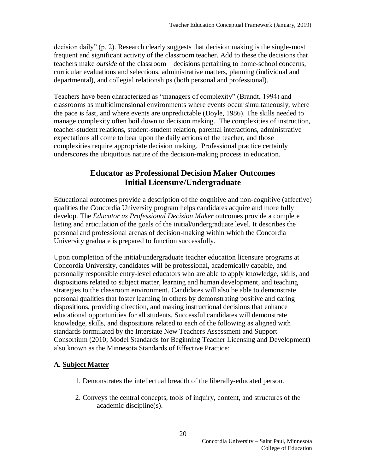decision daily" (p. 2). Research clearly suggests that decision making is the single-most frequent and significant activity of the classroom teacher. Add to these the decisions that teachers make *outside* of the classroom – decisions pertaining to home-school concerns, curricular evaluations and selections, administrative matters, planning (individual and departmental), and collegial relationships (both personal and professional).

Teachers have been characterized as "managers of complexity" (Brandt, 1994) and classrooms as multidimensional environments where events occur simultaneously, where the pace is fast, and where events are unpredictable (Doyle, 1986). The skills needed to manage complexity often boil down to decision making. The complexities of instruction, teacher-student relations, student-student relation, parental interactions, administrative expectations all come to bear upon the daily actions of the teacher, and those complexities require appropriate decision making. Professional practice certainly underscores the ubiquitous nature of the decision-making process in education.

## **Educator as Professional Decision Maker Outcomes Initial Licensure/Undergraduate**

Educational outcomes provide a description of the cognitive and non-cognitive (affective) qualities the Concordia University program helps candidates acquire and more fully develop. The *Educator as Professional Decision Maker* outcomes provide a complete listing and articulation of the goals of the initial/undergraduate level. It describes the personal and professional arenas of decision-making within which the Concordia University graduate is prepared to function successfully.

Upon completion of the initial/undergraduate teacher education licensure programs at Concordia University, candidates will be professional, academically capable, and personally responsible entry-level educators who are able to apply knowledge, skills, and dispositions related to subject matter, learning and human development, and teaching strategies to the classroom environment. Candidates will also be able to demonstrate personal qualities that foster learning in others by demonstrating positive and caring dispositions, providing direction, and making instructional decisions that enhance educational opportunities for all students. Successful candidates will demonstrate knowledge, skills, and dispositions related to each of the following as aligned with standards formulated by the Interstate New Teachers Assessment and Support Consortium (2010; Model Standards for Beginning Teacher Licensing and Development) also known as the Minnesota Standards of Effective Practice:

### **A. Subject Matter**

- 1. Demonstrates the intellectual breadth of the liberally-educated person.
- 2. Conveys the central concepts, tools of inquiry, content, and structures of the academic discipline(s).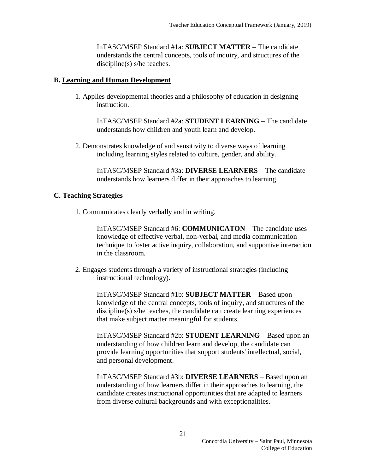InTASC/MSEP Standard #1a: **SUBJECT MATTER** – The candidate understands the central concepts, tools of inquiry, and structures of the discipline(s) s/he teaches.

#### **B. Learning and Human Development**

1. Applies developmental theories and a philosophy of education in designing instruction.

InTASC/MSEP Standard #2a: **STUDENT LEARNING** – The candidate understands how children and youth learn and develop.

2. Demonstrates knowledge of and sensitivity to diverse ways of learning including learning styles related to culture, gender, and ability.

InTASC/MSEP Standard #3a: **DIVERSE LEARNERS** – The candidate understands how learners differ in their approaches to learning.

#### **C. Teaching Strategies**

1. Communicates clearly verbally and in writing.

InTASC/MSEP Standard #6: **COMMUNICATON** – The candidate uses knowledge of effective verbal, non-verbal, and media communication technique to foster active inquiry, collaboration, and supportive interaction in the classroom.

2. Engages students through a variety of instructional strategies (including instructional technology).

InTASC/MSEP Standard #1b: **SUBJECT MATTER** – Based upon knowledge of the central concepts, tools of inquiry, and structures of the discipline(s) s/he teaches, the candidate can create learning experiences that make subject matter meaningful for students.

InTASC/MSEP Standard #2b: **STUDENT LEARNING** – Based upon an understanding of how children learn and develop, the candidate can provide learning opportunities that support students' intellectual, social, and personal development.

InTASC/MSEP Standard #3b: **DIVERSE LEARNERS** – Based upon an understanding of how learners differ in their approaches to learning, the candidate creates instructional opportunities that are adapted to learners from diverse cultural backgrounds and with exceptionalities.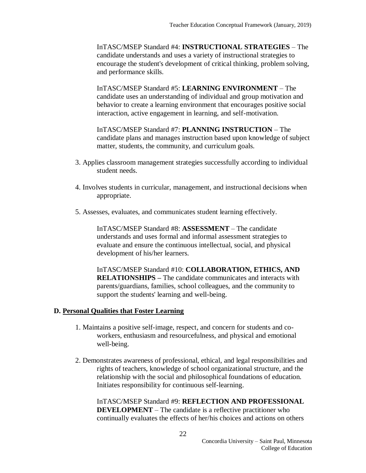InTASC/MSEP Standard #4: **INSTRUCTIONAL STRATEGIES** – The candidate understands and uses a variety of instructional strategies to encourage the student's development of critical thinking, problem solving, and performance skills.

InTASC/MSEP Standard #5: **LEARNING ENVIRONMENT** – The candidate uses an understanding of individual and group motivation and behavior to create a learning environment that encourages positive social interaction, active engagement in learning, and self-motivation.

InTASC/MSEP Standard #7: **PLANNING INSTRUCTION** – The candidate plans and manages instruction based upon knowledge of subject matter, students, the community, and curriculum goals.

- 3. Applies classroom management strategies successfully according to individual student needs.
- 4. Involves students in curricular, management, and instructional decisions when appropriate.
- 5. Assesses, evaluates, and communicates student learning effectively.

InTASC/MSEP Standard #8: **ASSESSMENT** – The candidate understands and uses formal and informal assessment strategies to evaluate and ensure the continuous intellectual, social, and physical development of his/her learners.

InTASC/MSEP Standard #10: **COLLABORATION, ETHICS, AND RELATIONSHIPS –** The candidate communicates and interacts with parents/guardians, families, school colleagues, and the community to support the students' learning and well-being.

#### **D. Personal Qualities that Foster Learning**

- 1. Maintains a positive self-image, respect, and concern for students and coworkers, enthusiasm and resourcefulness, and physical and emotional well-being.
- 2. Demonstrates awareness of professional, ethical, and legal responsibilities and rights of teachers, knowledge of school organizational structure, and the relationship with the social and philosophical foundations of education. Initiates responsibility for continuous self-learning.

InTASC/MSEP Standard #9: **REFLECTION AND PROFESSIONAL DEVELOPMENT** – The candidate is a reflective practitioner who continually evaluates the effects of her/his choices and actions on others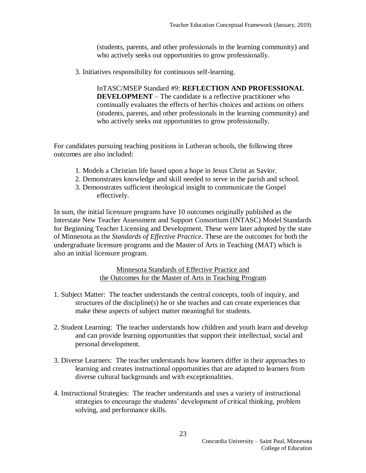(students, parents, and other professionals in the learning community) and who actively seeks out opportunities to grow professionally.

3. Initiatives responsibility for continuous self-learning.

InTASC/MSEP Standard #9: **REFLECTION AND PROFESSIONAL DEVELOPMENT** – The candidate is a reflective practitioner who continually evaluates the effects of her/his choices and actions on others (students, parents, and other professionals in the learning community) and who actively seeks out opportunities to grow professionally.

For candidates pursuing teaching positions in Lutheran schools, the following three outcomes are also included:

- 1. Models a Christian life based upon a hope in Jesus Christ as Savior.
- 2. Demonstrates knowledge and skill needed to serve in the parish and school.
- 3. Demonstrates sufficient theological insight to communicate the Gospel effectively.

In sum, the initial licensure programs have 10 outcomes originally published as the Interstate New Teacher Assessment and Support Consortium (INTASC) Model Standards for Beginning Teacher Licensing and Development. These were later adopted by the state of Minnesota as the *Standards of Effective Practice*. These are the outcomes for both the undergraduate licensure programs and the Master of Arts in Teaching (MAT) which is also an initial licensure program.

> Minnesota Standards of Effective Practice and the Outcomes for the Master of Arts in Teaching Program

- 1. Subject Matter: The teacher understands the central concepts, tools of inquiry, and structures of the discipline(s) he or she teaches and can create experiences that make these aspects of subject matter meaningful for students.
- 2. Student Learning: The teacher understands how children and youth learn and develop and can provide learning opportunities that support their intellectual, social and personal development.
- 3. Diverse Learners: The teacher understands how learners differ in their approaches to learning and creates instructional opportunities that are adapted to learners from diverse cultural backgrounds and with exceptionalities.
- 4. Instructional Strategies: The teacher understands and uses a variety of instructional strategies to encourage the students' development of critical thinking, problem solving, and performance skills.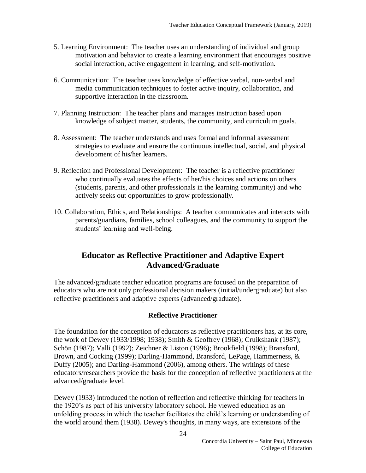- 5. Learning Environment: The teacher uses an understanding of individual and group motivation and behavior to create a learning environment that encourages positive social interaction, active engagement in learning, and self-motivation.
- 6. Communication: The teacher uses knowledge of effective verbal, non-verbal and media communication techniques to foster active inquiry, collaboration, and supportive interaction in the classroom.
- 7. Planning Instruction: The teacher plans and manages instruction based upon knowledge of subject matter, students, the community, and curriculum goals.
- 8. Assessment: The teacher understands and uses formal and informal assessment strategies to evaluate and ensure the continuous intellectual, social, and physical development of his/her learners.
- 9. Reflection and Professional Development: The teacher is a reflective practitioner who continually evaluates the effects of her/his choices and actions on others (students, parents, and other professionals in the learning community) and who actively seeks out opportunities to grow professionally.
- 10. Collaboration, Ethics, and Relationships: A teacher communicates and interacts with parents/guardians, families, school colleagues, and the community to support the students' learning and well-being.

## **Educator as Reflective Practitioner and Adaptive Expert Advanced/Graduate**

The advanced/graduate teacher education programs are focused on the preparation of educators who are not only professional decision makers (initial/undergraduate) but also reflective practitioners and adaptive experts (advanced/graduate).

### **Reflective Practitioner**

The foundation for the conception of educators as reflective practitioners has, at its core, the work of Dewey (1933/1998; 1938); Smith & Geoffrey (1968); Cruikshank (1987); Schön (1987); Valli (1992); Zeichner & Liston (1996); Brookfield (1998); Bransford, Brown, and Cocking (1999); Darling-Hammond, Bransford, LePage, Hammerness, & Duffy (2005); and Darling-Hammond (2006), among others. The writings of these educators/researchers provide the basis for the conception of reflective practitioners at the advanced/graduate level.

Dewey (1933) introduced the notion of reflection and reflective thinking for teachers in the 1920's as part of his university laboratory school. He viewed education as an unfolding process in which the teacher facilitates the child's learning or understanding of the world around them (1938). Dewey's thoughts, in many ways, are extensions of the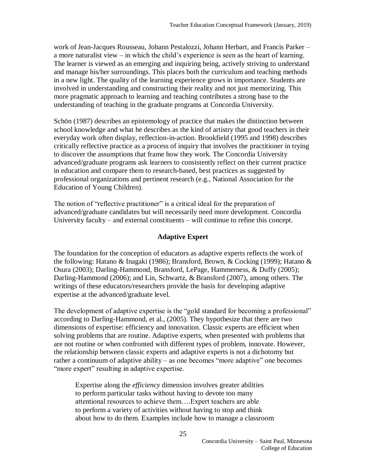work of Jean-Jacques Rousseau, Johann Pestalozzi, Johann Herbart, and Francis Parker – a more naturalist view – in which the child's experience is seen as the heart of learning. The learner is viewed as an emerging and inquiring being, actively striving to understand and manage his/her surroundings. This places both the curriculum and teaching methods in a new light. The quality of the learning experience grows in importance. Students are involved in understanding and constructing their reality and not just memorizing. This more pragmatic approach to learning and teaching contributes a strong base to the understanding of teaching in the graduate programs at Concordia University.

Schön (1987) describes an epistemology of practice that makes the distinction between school knowledge and what he describes as the kind of artistry that good teachers in their everyday work often display, reflection-in-action. Brookfield (1995 and 1998) describes critically reflective practice as a process of inquiry that involves the practitioner in trying to discover the assumptions that frame how they work. The Concordia University advanced/graduate programs ask learners to consistently reflect on their current practice in education and compare them to research-based, best practices as suggested by professional organizations and pertinent research (e.g., National Association for the Education of Young Children).

The notion of "reflective practitioner" is a critical ideal for the preparation of advanced/graduate candidates but will necessarily need more development. Concordia University faculty – and external constituents – will continue to refine this concept.

### **Adaptive Expert**

The foundation for the conception of educators as adaptive experts reflects the work of the following: Hatano & Inagaki (1986); Bransford, Brown, & Cocking (1999); Hatano & Osura (2003); Darling-Hammond, Bransford, LePage, Hammerness, & Duffy (2005); Darling-Hammond (2006); and Lin, Schwartz, & Bransford (2007), among others. The writings of these educators/researchers provide the basis for developing adaptive expertise at the advanced/graduate level.

The development of adaptive expertise is the "gold standard for becoming a professional" according to Darling-Hammond, et al., (2005). They hypothesize that there are two dimensions of expertise: efficiency and innovation. Classic experts are efficient when solving problems that are routine. Adaptive experts, when presented with problems that are not routine or when confronted with different types of problem, innovate. However, the relationship between classic experts and adaptive experts is not a dichotomy but rather a continuum of adaptive ability – as one becomes "more adaptive" one becomes "more expert" resulting in adaptive expertise.

Expertise along the *efficiency* dimension involves greater abilities to perform particular tasks without having to devote too many attentional resources to achieve them….Expert teachers are able to perform a variety of activities without having to stop and think about how to do them. Examples include how to manage a classroom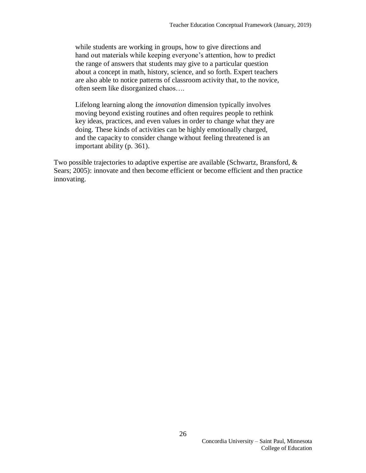while students are working in groups, how to give directions and hand out materials while keeping everyone's attention, how to predict the range of answers that students may give to a particular question about a concept in math, history, science, and so forth. Expert teachers are also able to notice patterns of classroom activity that, to the novice, often seem like disorganized chaos….

Lifelong learning along the *innovation* dimension typically involves moving beyond existing routines and often requires people to rethink key ideas, practices, and even values in order to change what they are doing. These kinds of activities can be highly emotionally charged, and the capacity to consider change without feeling threatened is an important ability (p. 361).

Two possible trajectories to adaptive expertise are available (Schwartz, Bransford, & Sears; 2005): innovate and then become efficient or become efficient and then practice innovating.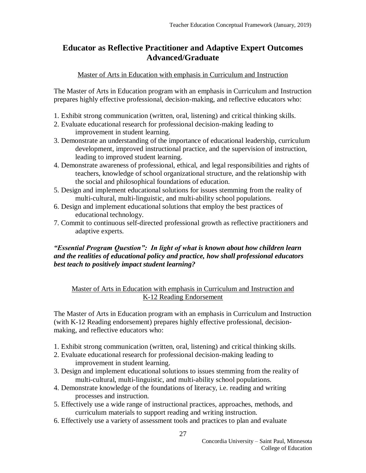# **Educator as Reflective Practitioner and Adaptive Expert Outcomes Advanced/Graduate**

### Master of Arts in Education with emphasis in Curriculum and Instruction

The Master of Arts in Education program with an emphasis in Curriculum and Instruction prepares highly effective professional, decision-making, and reflective educators who:

- 1. Exhibit strong communication (written, oral, listening) and critical thinking skills.
- 2. Evaluate educational research for professional decision-making leading to improvement in student learning.
- 3. Demonstrate an understanding of the importance of educational leadership, curriculum development, improved instructional practice, and the supervision of instruction, leading to improved student learning.
- 4. Demonstrate awareness of professional, ethical, and legal responsibilities and rights of teachers, knowledge of school organizational structure, and the relationship with the social and philosophical foundations of education.
- 5. Design and implement educational solutions for issues stemming from the reality of multi-cultural, multi-linguistic, and multi-ability school populations.
- 6. Design and implement educational solutions that employ the best practices of educational technology.
- 7. Commit to continuous self-directed professional growth as reflective practitioners and adaptive experts.

### *"Essential Program Question": In light of what is known about how children learn and the realities of educational policy and practice, how shall professional educators best teach to positively impact student learning?*

### Master of Arts in Education with emphasis in Curriculum and Instruction and K-12 Reading Endorsement

The Master of Arts in Education program with an emphasis in Curriculum and Instruction (with K-12 Reading endorsement) prepares highly effective professional, decisionmaking, and reflective educators who:

- 1. Exhibit strong communication (written, oral, listening) and critical thinking skills.
- 2. Evaluate educational research for professional decision-making leading to improvement in student learning.
- 3. Design and implement educational solutions to issues stemming from the reality of multi-cultural, multi-linguistic, and multi-ability school populations.
- 4. Demonstrate knowledge of the foundations of literacy, i.e. reading and writing processes and instruction.
- 5. Effectively use a wide range of instructional practices, approaches, methods, and curriculum materials to support reading and writing instruction.
- 6. Effectively use a variety of assessment tools and practices to plan and evaluate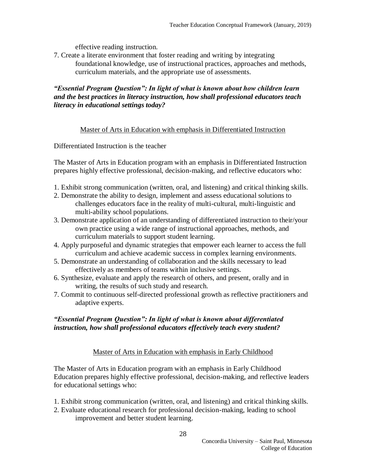effective reading instruction.

7. Create a literate environment that foster reading and writing by integrating foundational knowledge, use of instructional practices, approaches and methods, curriculum materials, and the appropriate use of assessments.

### *"Essential Program Question": In light of what is known about how children learn and the best practices in literacy instruction, how shall professional educators teach literacy in educational settings today?*

### Master of Arts in Education with emphasis in Differentiated Instruction

Differentiated Instruction is the teacher

The Master of Arts in Education program with an emphasis in Differentiated Instruction prepares highly effective professional, decision-making, and reflective educators who:

- 1. Exhibit strong communication (written, oral, and listening) and critical thinking skills.
- 2. Demonstrate the ability to design, implement and assess educational solutions to challenges educators face in the reality of multi-cultural, multi-linguistic and multi-ability school populations.
- 3. Demonstrate application of an understanding of differentiated instruction to their/your own practice using a wide range of instructional approaches, methods, and curriculum materials to support student learning.
- 4. Apply purposeful and dynamic strategies that empower each learner to access the full curriculum and achieve academic success in complex learning environments.
- 5. Demonstrate an understanding of collaboration and the skills necessary to lead effectively as members of teams within inclusive settings.
- 6. Synthesize, evaluate and apply the research of others, and present, orally and in writing, the results of such study and research.
- 7. Commit to continuous self-directed professional growth as reflective practitioners and adaptive experts.

## *"Essential Program Question": In light of what is known about differentiated instruction, how shall professional educators effectively teach every student?*

## Master of Arts in Education with emphasis in Early Childhood

The Master of Arts in Education program with an emphasis in Early Childhood Education prepares highly effective professional, decision-making, and reflective leaders for educational settings who:

- 1. Exhibit strong communication (written, oral, and listening) and critical thinking skills.
- 2. Evaluate educational research for professional decision-making, leading to school improvement and better student learning.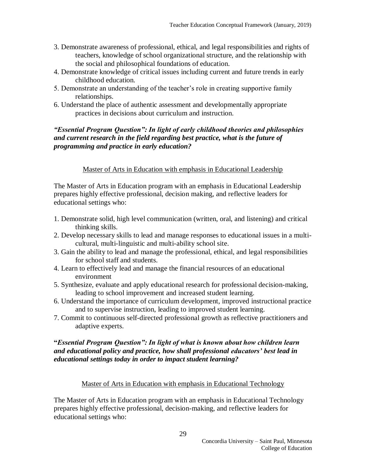- 3. Demonstrate awareness of professional, ethical, and legal responsibilities and rights of teachers, knowledge of school organizational structure, and the relationship with the social and philosophical foundations of education.
- 4. Demonstrate knowledge of critical issues including current and future trends in early childhood education.
- 5. Demonstrate an understanding of the teacher's role in creating supportive family relationships.
- 6. Understand the place of authentic assessment and developmentally appropriate practices in decisions about curriculum and instruction.

### *"Essential Program Question": In light of early childhood theories and philosophies and current research in the field regarding best practice, what is the future of programming and practice in early education?*

## Master of Arts in Education with emphasis in Educational Leadership

The Master of Arts in Education program with an emphasis in Educational Leadership prepares highly effective professional, decision making, and reflective leaders for educational settings who:

- 1. Demonstrate solid, high level communication (written, oral, and listening) and critical thinking skills.
- 2. Develop necessary skills to lead and manage responses to educational issues in a multicultural, multi-linguistic and multi-ability school site.
- 3. Gain the ability to lead and manage the professional, ethical, and legal responsibilities for school staff and students.
- 4. Learn to effectively lead and manage the financial resources of an educational environment
- 5. Synthesize, evaluate and apply educational research for professional decision-making, leading to school improvement and increased student learning.
- 6. Understand the importance of curriculum development, improved instructional practice and to supervise instruction, leading to improved student learning.
- 7. Commit to continuous self-directed professional growth as reflective practitioners and adaptive experts.

### **"***Essential Program Question": In light of what is known about how children learn and educational policy and practice, how shall professional educators' best lead in educational settings today in order to impact student learning?*

## Master of Arts in Education with emphasis in Educational Technology

The Master of Arts in Education program with an emphasis in Educational Technology prepares highly effective professional, decision-making, and reflective leaders for educational settings who: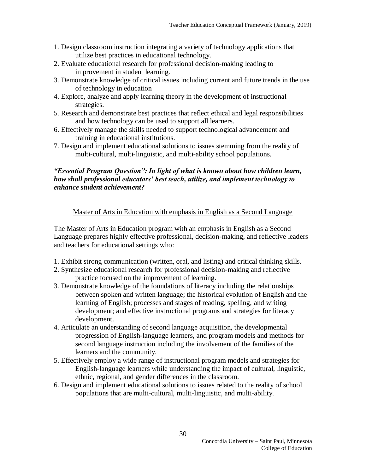- 1. Design classroom instruction integrating a variety of technology applications that utilize best practices in educational technology.
- 2. Evaluate educational research for professional decision-making leading to improvement in student learning.
- 3. Demonstrate knowledge of critical issues including current and future trends in the use of technology in education
- 4. Explore, analyze and apply learning theory in the development of instructional strategies.
- 5. Research and demonstrate best practices that reflect ethical and legal responsibilities and how technology can be used to support all learners.
- 6. Effectively manage the skills needed to support technological advancement and training in educational institutions.
- 7. Design and implement educational solutions to issues stemming from the reality of multi-cultural, multi-linguistic, and multi-ability school populations.

### *"Essential Program Question": In light of what is known about how children learn, how shall professional educators' best teach, utilize, and implement technology to enhance student achievement?*

### Master of Arts in Education with emphasis in English as a Second Language

The Master of Arts in Education program with an emphasis in English as a Second Language prepares highly effective professional, decision-making, and reflective leaders and teachers for educational settings who:

- 1. Exhibit strong communication (written, oral, and listing) and critical thinking skills.
- 2. Synthesize educational research for professional decision-making and reflective practice focused on the improvement of learning.
- 3. Demonstrate knowledge of the foundations of literacy including the relationships between spoken and written language; the historical evolution of English and the learning of English; processes and stages of reading, spelling, and writing development; and effective instructional programs and strategies for literacy development.
- 4. Articulate an understanding of second language acquisition, the developmental progression of English-language learners, and program models and methods for second language instruction including the involvement of the families of the learners and the community.
- 5. Effectively employ a wide range of instructional program models and strategies for English-language learners while understanding the impact of cultural, linguistic, ethnic, regional, and gender differences in the classroom.
- 6. Design and implement educational solutions to issues related to the reality of school populations that are multi-cultural, multi-linguistic, and multi-ability.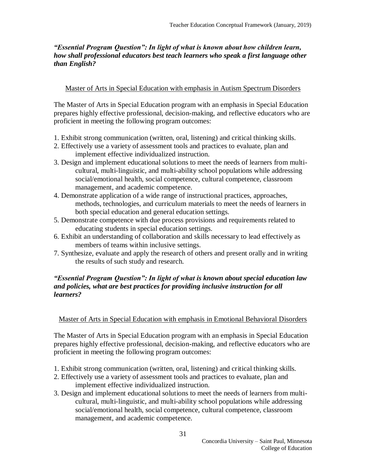### *"Essential Program Question": In light of what is known about how children learn, how shall professional educators best teach learners who speak a first language other than English?*

### Master of Arts in Special Education with emphasis in Autism Spectrum Disorders

The Master of Arts in Special Education program with an emphasis in Special Education prepares highly effective professional, decision-making, and reflective educators who are proficient in meeting the following program outcomes:

- 1. Exhibit strong communication (written, oral, listening) and critical thinking skills.
- 2. Effectively use a variety of assessment tools and practices to evaluate, plan and implement effective individualized instruction.
- 3. Design and implement educational solutions to meet the needs of learners from multicultural, multi-linguistic, and multi-ability school populations while addressing social/emotional health, social competence, cultural competence, classroom management, and academic competence.
- 4. Demonstrate application of a wide range of instructional practices, approaches, methods, technologies, and curriculum materials to meet the needs of learners in both special education and general education settings.
- 5. Demonstrate competence with due process provisions and requirements related to educating students in special education settings.
- 6. Exhibit an understanding of collaboration and skills necessary to lead effectively as members of teams within inclusive settings.
- 7. Synthesize, evaluate and apply the research of others and present orally and in writing the results of such study and research.

### *"Essential Program Question": In light of what is known about special education law and policies, what are best practices for providing inclusive instruction for all learners?*

Master of Arts in Special Education with emphasis in Emotional Behavioral Disorders

The Master of Arts in Special Education program with an emphasis in Special Education prepares highly effective professional, decision-making, and reflective educators who are proficient in meeting the following program outcomes:

- 1. Exhibit strong communication (written, oral, listening) and critical thinking skills.
- 2. Effectively use a variety of assessment tools and practices to evaluate, plan and implement effective individualized instruction.
- 3. Design and implement educational solutions to meet the needs of learners from multicultural, multi-linguistic, and multi-ability school populations while addressing social/emotional health, social competence, cultural competence, classroom management, and academic competence.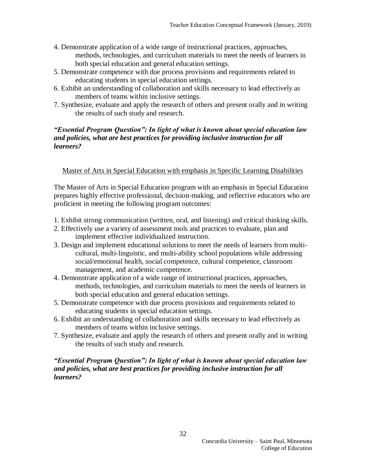- 4. Demonstrate application of a wide range of instructional practices, approaches, methods, technologies, and curriculum materials to meet the needs of learners in both special education and general education settings.
- 5. Demonstrate competence with due process provisions and requirements related to educating students in special education settings.
- 6. Exhibit an understanding of collaboration and skills necessary to lead effectively as members of teams within inclusive settings.
- 7. Synthesize, evaluate and apply the research of others and present orally and in writing the results of such study and research.

### *"Essential Program Question": In light of what is known about special education law and policies, what are best practices for providing inclusive instruction for all learners?*

## Master of Arts in Special Education with emphasis in Specific Learning Disabilities

The Master of Arts in Special Education program with an emphasis in Special Education prepares highly effective professional, decision-making, and reflective educators who are proficient in meeting the following program outcomes:

- 1. Exhibit strong communication (written, oral, and listening) and critical thinking skills.
- 2. Effectively use a variety of assessment tools and practices to evaluate, plan and implement effective individualized instruction.
- 3. Design and implement educational solutions to meet the needs of learners from multicultural, multi-linguistic, and multi-ability school populations while addressing social/emotional health, social competence, cultural competence, classroom management, and academic competence.
- 4. Demonstrate application of a wide range of instructional practices, approaches, methods, technologies, and curriculum materials to meet the needs of learners in both special education and general education settings.
- 5. Demonstrate competence with due process provisions and requirements related to educating students in special education settings.
- 6. Exhibit an understanding of collaboration and skills necessary to lead effectively as members of teams within inclusive settings.
- 7. Synthesize, evaluate and apply the research of others and present orally and in writing the results of such study and research.

### *"Essential Program Question": In light of what is known about special education law and policies, what are best practices for providing inclusive instruction for all learners?*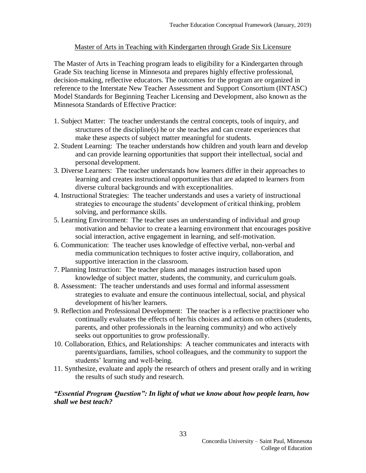### Master of Arts in Teaching with Kindergarten through Grade Six Licensure

The Master of Arts in Teaching program leads to eligibility for a Kindergarten through Grade Six teaching license in Minnesota and prepares highly effective professional, decision-making, reflective educators. The outcomes for the program are organized in reference to the Interstate New Teacher Assessment and Support Consortium (INTASC) Model Standards for Beginning Teacher Licensing and Development, also known as the Minnesota Standards of Effective Practice:

- 1. Subject Matter: The teacher understands the central concepts, tools of inquiry, and structures of the discipline(s) he or she teaches and can create experiences that make these aspects of subject matter meaningful for students.
- 2. Student Learning: The teacher understands how children and youth learn and develop and can provide learning opportunities that support their intellectual, social and personal development.
- 3. Diverse Learners: The teacher understands how learners differ in their approaches to learning and creates instructional opportunities that are adapted to learners from diverse cultural backgrounds and with exceptionalities.
- 4. Instructional Strategies: The teacher understands and uses a variety of instructional strategies to encourage the students' development of critical thinking, problem solving, and performance skills.
- 5. Learning Environment: The teacher uses an understanding of individual and group motivation and behavior to create a learning environment that encourages positive social interaction, active engagement in learning, and self-motivation.
- 6. Communication: The teacher uses knowledge of effective verbal, non-verbal and media communication techniques to foster active inquiry, collaboration, and supportive interaction in the classroom.
- 7. Planning Instruction: The teacher plans and manages instruction based upon knowledge of subject matter, students, the community, and curriculum goals.
- 8. Assessment: The teacher understands and uses formal and informal assessment strategies to evaluate and ensure the continuous intellectual, social, and physical development of his/her learners.
- 9. Reflection and Professional Development: The teacher is a reflective practitioner who continually evaluates the effects of her/his choices and actions on others (students, parents, and other professionals in the learning community) and who actively seeks out opportunities to grow professionally.
- 10. Collaboration, Ethics, and Relationships: A teacher communicates and interacts with parents/guardians, families, school colleagues, and the community to support the students' learning and well-being.
- 11. Synthesize, evaluate and apply the research of others and present orally and in writing the results of such study and research.

### *"Essential Program Question": In light of what we know about how people learn, how shall we best teach?*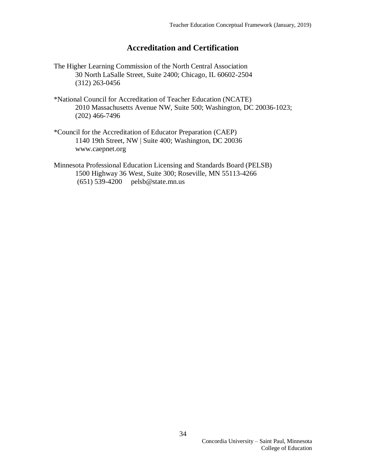## **Accreditation and Certification**

- The Higher Learning Commission of the North Central Association 30 North LaSalle Street, Suite 2400; Chicago, IL 60602-2504 (312) 263-0456
- \*National Council for Accreditation of Teacher Education (NCATE) 2010 Massachusetts Avenue NW, Suite 500; Washington, DC 20036-1023; (202) 466-7496
- \*Council for the Accreditation of Educator Preparation (CAEP) 1140 19th Street, NW | Suite 400; Washington, DC 20036 www.caepnet.org
- Minnesota Professional Education Licensing and Standards Board (PELSB) 1500 Highway 36 West, Suite 300; Roseville, MN 55113-4266 (651) 539-4200 pelsb@state.mn.us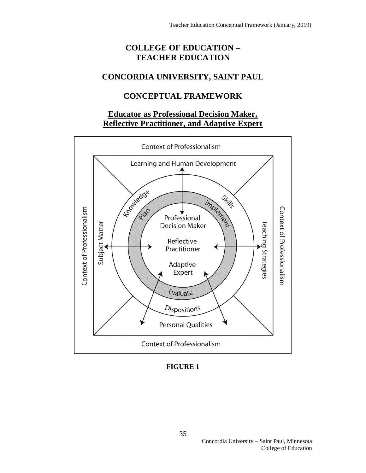# **COLLEGE OF EDUCATION – TEACHER EDUCATION**

# **CONCORDIA UNIVERSITY, SAINT PAUL**

# **CONCEPTUAL FRAMEWORK**

## **Educator as Professional Decision Maker, Reflective Practitioner, and Adaptive Expert**



**FIGURE 1**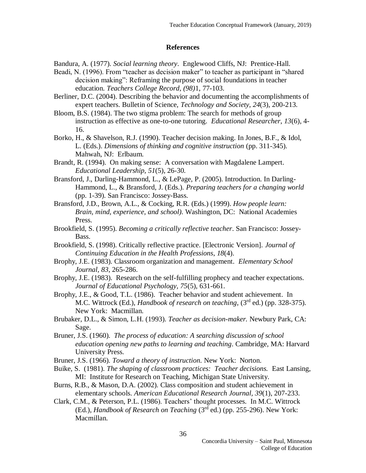#### **References**

Bandura, A. (1977). *Social learning theory*. Englewood Cliffs, NJ: Prentice-Hall.

- Beadi, N. (1996). From "teacher as decision maker" to teacher as participant in "shared decision making": Reframing the purpose of social foundations in teacher education. *Teachers College Record, (98)*1, 77-103.
- Berliner, D.C. (2004). Describing the behavior and documenting the accomplishments of expert teachers. Bulletin of Science, *Technology and Society, 24*(3), 200-213.
- Bloom, B.S. (1984). The two stigma problem: The search for methods of group instruction as effective as one-to-one tutoring. *Educational Researcher, 13*(6), 4- 16.
- Borko, H., & Shavelson, R.J. (1990). Teacher decision making. In Jones, B.F., & Idol, L. (Eds.). *Dimensions of thinking and cognitive instruction* (pp. 311-345). Mahwah, NJ: Erlbaum.
- Brandt, R. (1994). On making sense: A conversation with Magdalene Lampert. *Educational Leadership, 51*(5), 26-30.
- Bransford, J., Darling-Hammond, L., & LePage, P. (2005). Introduction. In Darling-Hammond, L., & Bransford, J. (Eds.). *Preparing teachers for a changing world* (pp. 1-39). San Francisco: Jossey-Bass.
- Bransford, J.D., Brown, A.L., & Cocking, R.R. (Eds.) (1999). *How people learn: Brain, mind, experience, and school)*. Washington, DC: National Academies Press.
- Brookfield, S. (1995). *Becoming a critically reflective teacher*. San Francisco: Jossey-Bass.
- Brookfield, S. (1998). Critically reflective practice. [Electronic Version]. *Journal of Continuing Education in the Health Professions*, *18*(4).
- Brophy, J.E. (1983). Classroom organization and management. *Elementary School Journal, 83*, 265-286.
- Brophy, J.E. (1983). Research on the self-fulfilling prophecy and teacher expectations. *Journal of Educational Psychology, 75*(5), 631-661.
- Brophy, J.E., & Good, T.L. (1986). Teacher behavior and student achievement. In M.C. Wittrock (Ed.), *Handbook of research on teaching*, (3rd ed.) (pp. 328-375). New York: Macmillan.
- Brubaker, D.L., & Simon, L.H. (1993). *Teacher as decision-maker.* Newbury Park, CA: Sage.
- Bruner, J.S. (1960). *The process of education: A searching discussion of school education opening new paths to learning and teaching*. Cambridge, MA: Harvard University Press.
- Bruner, J.S. (1966). *Toward a theory of instruction.* New York: Norton.
- Buike, S. (1981). *The shaping of classroom practices: Teacher decisions.* East Lansing, MI: Institute for Research on Teaching, Michigan State University.
- Burns, R.B., & Mason, D.A. (2002). Class composition and student achievement in elementary schools. *American Educational Research Journal, 39*(1), 207-233.
- Clark, C.M., & Peterson, P.L. (1986). Teachers' thought processes. In M.C. Wittrock (Ed.), *Handbook of Research on Teaching* (3rd ed.) (pp. 255-296). New York: Macmillan.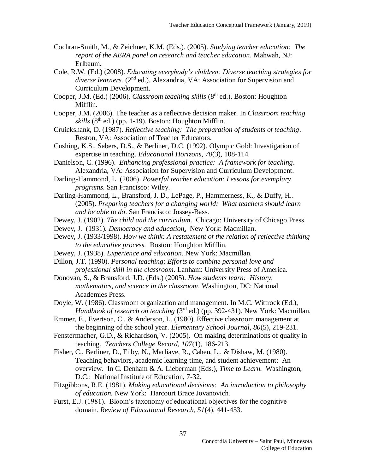- Cochran-Smith, M., & Zeichner, K.M. (Eds.). (2005). *Studying teacher education: The report of the AERA panel on research and teacher education*. Mahwah, NJ: Erlbaum.
- Cole, R.W. (Ed.) (2008). *Educating everybody's children: Diverse teaching strategies for*  diverse learners. (2<sup>nd</sup> ed.). Alexandria, VA: Association for Supervision and Curriculum Development.
- Cooper, J.M. (Ed.) (2006). *Classroom teaching skills* (8<sup>th</sup> ed.). Boston: Houghton Mifflin.
- Cooper, J.M. (2006). The teacher as a reflective decision maker. In *Classroom teaching*   $skills$  ( $8<sup>th</sup>$  ed.) (pp. 1-19). Boston: Houghton Mifflin.
- Cruickshank, D. (1987). *Reflective teaching: The preparation of students of teaching*. Reston, VA: Association of Teacher Educators.
- Cushing, K.S., Sabers, D.S., & Berliner, D.C. (1992). Olympic Gold: Investigation of expertise in teaching. *Educational Horizons, 70*(3), 108-114.
- Danielson, C. (1996). *Enhancing professional practice: A framework for teaching*. Alexandria, VA: Association for Supervision and Curriculum Development.
- Darling-Hammond, L. (2006). *Powerful teacher education: Lessons for exemplary programs*. San Francisco: Wiley.
- Darling-Hammond, L., Bransford, J. D., LePage, P., Hammerness, K., & Duffy, H.. (2005). *Preparing teachers for a changing world: What teachers should learn and be able to do*. San Francisco: Jossey-Bass.
- Dewey, J. (1902). *The child and the curriculum*. Chicago: University of Chicago Press.
- Dewey, J. (1931). *Democracy and education*. New York: Macmillan.
- Dewey, J. (1933/1998). *How we think: A restatement of the relation of reflective thinking to the educative process.* Boston: Houghton Mifflin.
- Dewey, J. (1938). *Experience and education*. New York: Macmillan.
- Dillon, J.T. (1990). *Personal teaching: Efforts to combine personal love and professional skill in the classroom*. Lanham: University Press of America.
- Donovan, S., & Bransford, J.D. (Eds.) (2005). *How students learn: History, mathematics, and science in the classroom*. Washington, DC: National Academies Press.
- Doyle, W. (1986). Classroom organization and management. In M.C. Wittrock (Ed.), *Handbook of research on teaching* (3<sup>rd</sup> ed.) (pp. 392-431). New York: Macmillan.
- Emmer, E., Evertson, C., & Anderson, L. (1980). Effective classroom management at the beginning of the school year. *Elementary School Journal, 80*(5), 219-231.
- Fenstermacher, G.D., & Richardson, V. (2005). On making determinations of quality in teaching. *Teachers College Record, 107*(1), 186-213.
- Fisher, C., Berliner, D., Filby, N., Marliave, R., Cahen, L., & Dishaw, M. (1980). Teaching behaviors, academic learning time, and student achievement: An overview. In C. Denham & A. Lieberman (Eds.), *Time to Learn.* Washington, D.C.: National Institute of Education, 7-32.
- Fitzgibbons, R.E. (1981). *Making educational decisions: An introduction to philosophy of education.* New York: Harcourt Brace Jovanovich.
- Furst, E.J. (1981). Bloom's taxonomy of educational objectives for the cognitive domain. *Review of Educational Research, 51*(4), 441-453.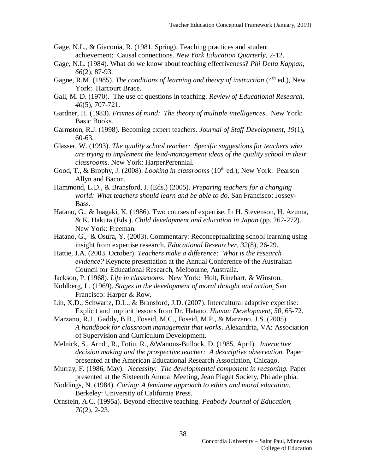- Gage, N.L., & Giaconia, R. (1981, Spring). Teaching practices and student achievement: Causal connections. *New York Education Quarterly*, 2-12.
- Gage, N.L. (1984). What do we know about teaching effectiveness? *Phi Delta Kappan, 66*(2), 87-93.
- Gagne, R.M. (1985). *The conditions of learning and theory of instruction* (4<sup>th</sup> ed.). New York: Harcourt Brace.
- Gall, M. D. (1970). The use of questions in teaching. *Review of Educational Research, 40*(5), 707-721.
- Gardner, H. (1983). *Frames of mind: The theory of multiple intelligences*. New York: Basic Books.
- Garmston, R.J. (1998). Becoming expert teachers. *Journal of Staff Development, 19*(1), 60-63.
- Glasser, W. (1993). *The quality school teacher: Specific suggestions for teachers who are trying to implement the lead-management ideas of the quality school in their classrooms*. New York: HarperPerennial.
- Good, T., & Brophy, J. (2008). *Looking in classrooms* (10<sup>th</sup> ed.), New York: Pearson Allyn and Bacon.
- Hammond, L.D., & Bransford, J. (Eds.) (2005). *Preparing teachers for a changing world: What teachers should learn and be able to do*. San Francisco: Jossey-Bass.
- Hatano, G., & Inagaki, K. (1986). Two courses of expertise. In H. Stevenson, H. Azuma, & K. Hakuta (Eds.). *Child development and education in Japan* (pp. 262-272). New York: Freeman.
- Hatano, G., & Osura, Y. (2003). Commentary: Reconceptualizing school learning using insight from expertise research. *Educational Researcher, 32*(8), 26-29.
- Hattie, J.A. (2003, October). *Teachers make a difference: What is the research evidence?* Keynote presentation at the Annual Conference of the Australian Council for Educational Research, Melbourne, Australia.
- Jackson, P. (1968). *Life in classrooms*. New York: Holt, Rinehart, & Winston.
- Kohlberg, L. (1969). *Stages in the development of moral thought and action*. San Francisco: Harper & Row.
- Lin, X.D., Schwartz, D.L., & Bransford, J.D. (2007). Intercultural adaptive expertise: Explicit and implicit lessons from Dr. Hatano. *Human Development, 50*, 65-72.
- Marzano, R.J., Gaddy, B.B., Foseid, M.C., Foseid, M.P., & Marzano, J.S. (2005). *A handbook for classroom management that works*. Alexandria, VA: Association of Supervision and Curriculum Development.
- Melnick, S., Arndt, R., Fotiu, R., &Wanous-Bullock, D. (1985, April). *Interactive decision making and the prospective teacher: A descriptive observation.* Paper presented at the American Educational Research Association, Chicago.
- Murray, F. (1986, May). *Necessity: The developmental component in reasoning.* Paper presented at the Sixteenth Annual Meeting, Jean Piaget Society, Philadelphia.
- Noddings, N. (1984). *Caring: A feminine approach to ethics and moral education.* Berkeley: University of California Press.
- Ornstein, A.C. (1995a). Beyond effective teaching. *Peabody Journal of Education, 70*(2), 2-23.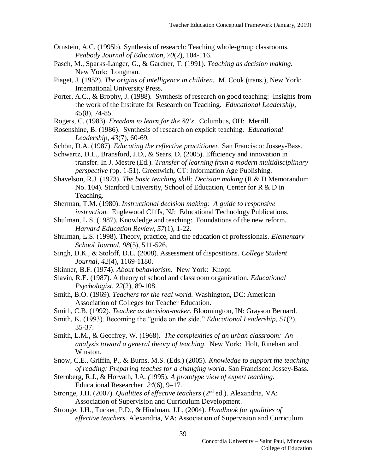- Ornstein, A.C. (1995b). Synthesis of research: Teaching whole-group classrooms. *Peabody Journal of Education, 70*(2), 104-116.
- Pasch, M., Sparks-Langer, G., & Gardner, T. (1991). *Teaching as decision making.*  New York: Longman.
- Piaget, J. (1952). *The origins of intelligence in children.* M. Cook (trans.), New York: International University Press.
- Porter, A.C., & Brophy, J. (1988). Synthesis of research on good teaching: Insights from the work of the Institute for Research on Teaching. *Educational Leadership, 45*(8), 74-85.
- Rogers, C. (1983). *Freedom to learn for the 80's*. Columbus, OH: Merrill.
- Rosenshine, B. (1986). Synthesis of research on explicit teaching. *Educational Leadership, 43*(7), 60-69.
- Schön, D.A. (1987). *Educating the reflective practitioner.* San Francisco: Jossey-Bass.
- Schwartz, D.L., Bransford, J.D., & Sears, D. (2005). Efficiency and innovation in transfer. In J. Mestre (Ed.). *Transfer of learning from a modern multidisciplinary perspective* (pp. 1-51). Greenwich, CT: Information Age Publishing.
- Shavelson, R.J. (1973). *The basic teaching skill: Decision making* (R & D Memorandum No. 104). Stanford University, School of Education, Center for R & D in Teaching.
- Sherman, T.M. (1980). *Instructional decision making: A guide to responsive instruction.* Englewood Cliffs, NJ: Educational Technology Publications.
- Shulman, L.S. (1987). Knowledge and teaching: Foundations of the new reform. *Harvard Education Review, 57*(1), 1-22.
- Shulman, L.S. (1998). Theory, practice, and the education of professionals. *Elementary School Journal, 98*(5), 511-526.
- Singh, D.K., & Stoloff, D.L. (2008). Assessment of dispositions. *College Student Journal, 42*(4), 1169-1180.
- Skinner, B.F. (1974). *About behaviorism.* New York: Knopf.
- Slavin, R.E. (1987). A theory of school and classroom organization. *Educational Psychologist, 22*(2), 89-108.
- Smith, B.O. (1969). *Teachers for the real world.* Washington, DC: American Association of Colleges for Teacher Education.
- Smith, C.B. (1992). *Teacher as decision-maker.* Bloomington, IN: Grayson Bernard.
- Smith, K. (1993). Becoming the "guide on the side." *Educational Leadership, 51*(2), 35-37.
- Smith, L.M., & Geoffrey, W. (1968). *The complexities of an urban classroom: An analysis toward a general theory of teaching*. New York: Holt, Rinehart and Winston.
- Snow, C.E., Griffin, P., & Burns, M.S. (Eds.) (2005). *Knowledge to support the teaching of reading: Preparing teaches for a changing world*. San Francisco: Jossey-Bass.
- Sternberg, R.J., & Horvath, J.A. *(*1995)*. A prototype view of expert teaching*. Educational Researcher. *24*(6), 9–17.
- Stronge, J.H. (2007). *Qualities of effective teachers* (2nd ed.). Alexandria, VA: Association of Supervision and Curriculum Development.
- Stronge, J.H., Tucker, P.D., & Hindman, J.L. (2004). *Handbook for qualities of effective teachers*. Alexandria, VA: Association of Supervision and Curriculum